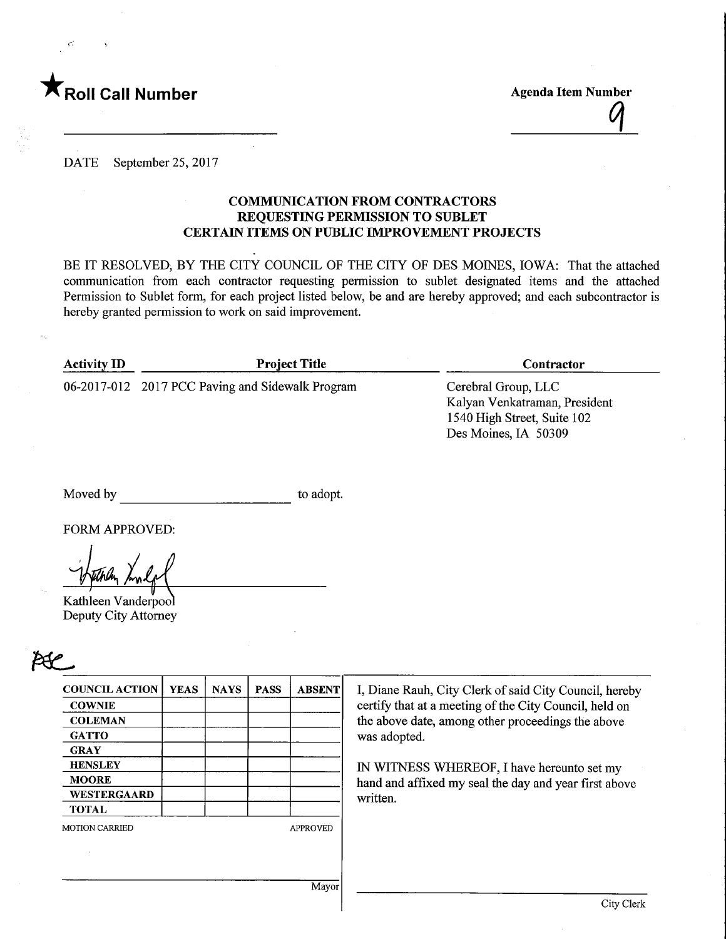

 $\epsilon$ :  $\rightarrow$ 

Roll Call Number Agenda Item Number Agenda Item Number Agenda Item Number Agenda Item Number  $\mathcal{C}$ 

DATE September 25, 2017

### COMMUNICATION FROM CONTRACTORS REQUESTING PERMISSION TO SUBLET CERTAIN ITEMS ON PUBLIC IMPROVEMENT PROJECTS

BE IT RESOLVED, BY THE CITY COUNCIL OF THE CITY OF DES MOINES, IOWA: That the attached communication from each contractor requesting permission to sublet designated items and the attached Permission to Sublet form, for each project listed below, be and are hereby approved; and each subcontractor is hereby granted permission to work on said improvement.

| <b>Activity ID</b> | <b>Project Title</b>                             | <b>Contractor</b>                                                                                           |
|--------------------|--------------------------------------------------|-------------------------------------------------------------------------------------------------------------|
|                    | 06-2017-012 2017 PCC Paving and Sidewalk Program | Cerebral Group, LLC<br>Kalyan Venkatraman, President<br>1540 High Street, Suite 102<br>Des Moines, IA 50309 |
|                    |                                                  |                                                                                                             |

Moved by to adopt.

FORM APPROVED:

Kathleen Vanderpool Deputy City Attorney

|   | o |  |
|---|---|--|
| I |   |  |

| <b>COUNCIL ACTION</b> | <b>YEAS</b> | <b>NAYS</b> | <b>PASS</b> | <b>ABSENT</b>   |
|-----------------------|-------------|-------------|-------------|-----------------|
| <b>COWNIE</b>         |             |             |             |                 |
| <b>COLEMAN</b>        |             |             |             |                 |
| <b>GATTO</b>          |             |             |             |                 |
| <b>GRAY</b>           |             |             |             |                 |
| <b>HENSLEY</b>        |             |             |             |                 |
| <b>MOORE</b>          |             |             |             |                 |
| WESTERGAARD           |             |             |             |                 |
| <b>TOTAL</b>          |             |             |             |                 |
| <b>MOTION CARRIED</b> |             |             |             | <b>APPROVED</b> |
|                       |             |             |             |                 |
|                       |             |             |             |                 |
|                       |             |             |             |                 |

I, Diane Rauh, City Clerk of said City Council, hereby certify that at a meeting of the City Council, held on the above date, among other proceedings the above was adopted.

IN WITNESS WHEREOF, I have hereunto set my hand and affixed my seal the day and year first above written.

Mayor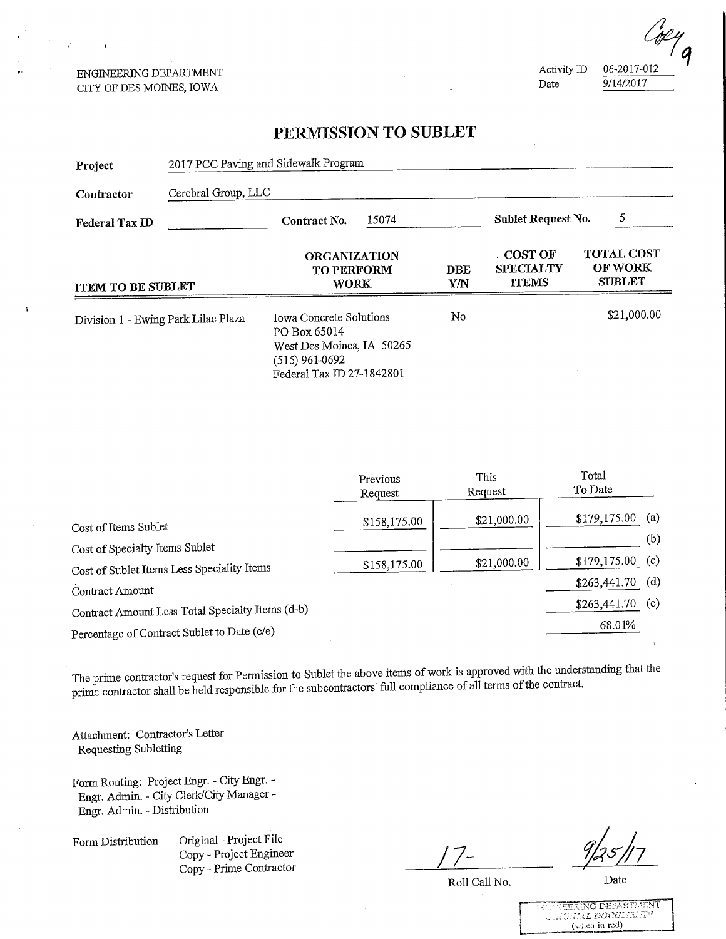ENGINEERING DEPARTMENT CITY OF DES MOINES, IOWA

 $\mathcal{C}$ 

 $\frac{644444}{2444247}$  $\frac{271772017}{200}$ 

### PERMISSION TO SUBLET

| Project                             | 2017 PCC Paving and Sidewalk Program |                                                                                                                              |            |                                               |                                                      |  |
|-------------------------------------|--------------------------------------|------------------------------------------------------------------------------------------------------------------------------|------------|-----------------------------------------------|------------------------------------------------------|--|
| Contractor                          | Cerebral Group, LLC                  |                                                                                                                              |            |                                               |                                                      |  |
| Federal Tax ID                      |                                      | 15074<br>Contract No.                                                                                                        |            | 5<br>Sublet Request No.                       |                                                      |  |
| <b>ITEM TO BE SUBLET</b>            |                                      | <b>ORGANIZATION</b><br><b>TO PERFORM</b><br><b>WORK</b>                                                                      | DBE<br>Y/N | . COST OF<br><b>SPECIALTY</b><br><b>ITEMS</b> | <b>TOTAL COST</b><br><b>OF WORK</b><br><b>SUBLET</b> |  |
| Division 1 - Ewing Park Lilac Plaza |                                      | <b>Towa Concrete Solutions</b><br>PO Box 65014<br>West Des Moines, IA 50265<br>$(515)$ 961-0692<br>Federal Tax ID 27-1842801 | No         |                                               | \$21,000.00                                          |  |

|                                                  | Previous<br>Request | This<br>Request | Total<br>To Date  |     |
|--------------------------------------------------|---------------------|-----------------|-------------------|-----|
| Cost of Items Sublet                             | \$158,175.00        | \$21,000.00     | \$179,175.00      | (a) |
| Cost of Specialty Items Sublet                   |                     |                 |                   | (b) |
| Cost of Sublet Items Less Speciality Items       | \$158,175.00        | \$21,000.00     | $$179,175.00$ (c) |     |
| Contract Amount                                  |                     |                 | \$263,441.70      | (d) |
| Contract Amount Less Total Specialty Items (d-b) |                     |                 | \$263,441.70      | (e) |
| Percentage of Contract Sublet to Date (c/e)      |                     |                 | 68.01%            |     |

The prime contractor's request for Permission to Sublet the above items of work is approved with the understanding that the prime contractor shall be held responsible for the subcontractors' full compliance of all terms of the contract.

Attachment: Contractor's Letter Requesting Sublettiag

Form Routing: Project Engr. - City Engr. - Engr. Admin. - City Clerk/City Manager - Engr. Admin. - Distribution

Form Distribution Original - Project File Copy - Project Engineer Copy - Prime Contractor

Roll Call No. Date

| LOU NEERING DEPARTMENT        |
|-------------------------------|
| <b>AU WORNIE BOCULESIET (</b> |
|                               |
| $(w)$ and $(\text{val})$      |
|                               |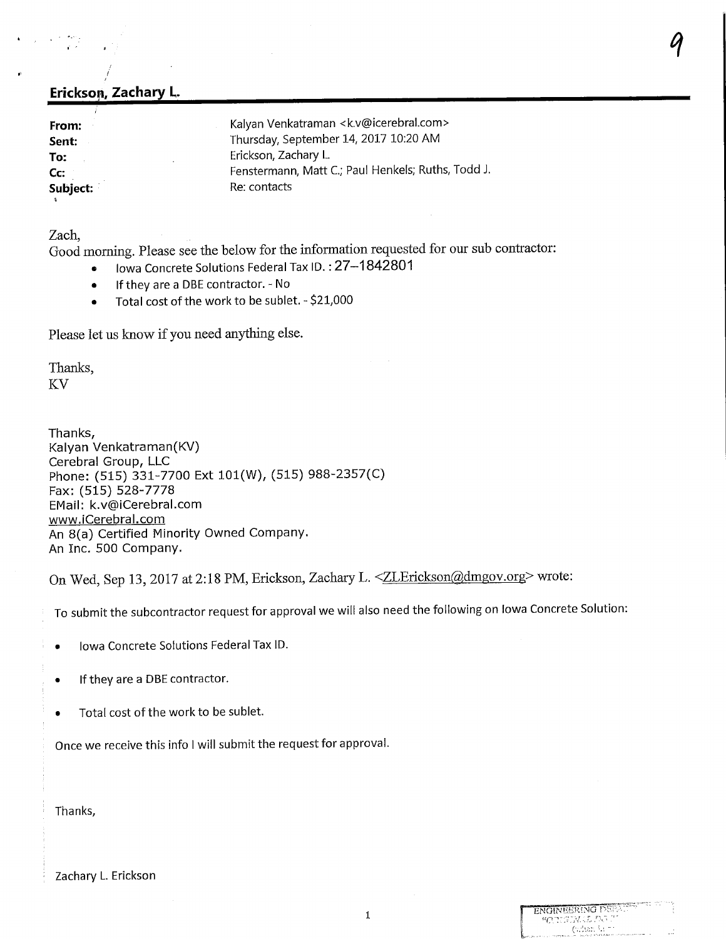## Erickson, Zachary L.

| Kalyan Venkatraman <k.v@icerebral.com></k.v@icerebral.com> |
|------------------------------------------------------------|
| Thursday, September 14, 2017 10:20 AM                      |
| Erickson, Zachary L.                                       |
| Fenstermann, Matt C.; Paul Henkels; Ruths, Todd J.         |
| Re: contacts                                               |
|                                                            |

Zach,

Good morning. Please see the below for the information requested for our sub contractor:

 $\mathcal{A}$  and the contract of the contract of the contract of the contract of  $\mathcal{A}$ 

- Iowa Concrete Solutions Federal Tax ID.: 27-1842801
- If they are a DBE contractor. No
- Total cost of the work to be sublet. \$21,000

Please let us know if you need anything else.

Thanks, KV

Thanks, Kalyan Venkatraman(KV) Cerebral Group, LLC Phone: (515) 331-7700 Ext 101(W), (515) 988-2357(C) Fax:(515) 528-7778 EMail: k.v@iCerebral.com www.iCerebral.com An 8(a) Certified Minority Owned Company. An Inc. 500 Company.

On Wed, Sep 13, 2017 at 2:18 PM, Erickson, Zachary L. <
ZLErickson@dmgov.org> wrote:

To submit the subcontractor request for approval we will also need the following on Iowa Concrete Solution:

- Iowa Concrete Solutions Federal Tax ID.
- If they are a DBE contractor.
- Total cost of the work to be sublet.

Once we receive this info I will submit the request for approval.

Thanks,

Zachary L. Erickson